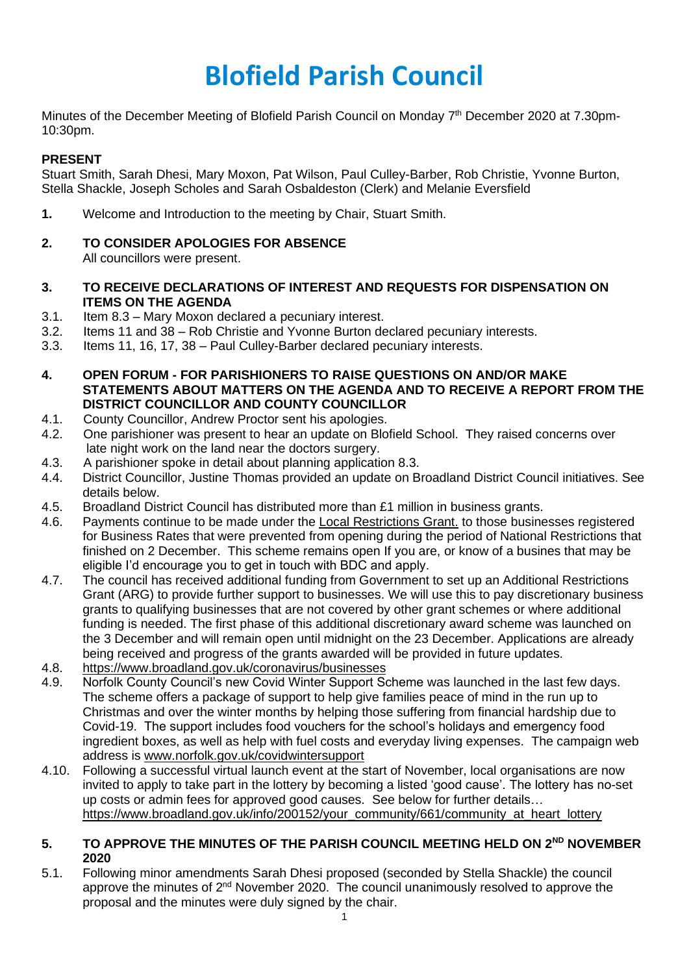# **Blofield Parish Council**

Minutes of the December Meeting of Blofield Parish Council on Monday 7<sup>th</sup> December 2020 at 7.30pm-10:30pm.

## **PRESENT**

Stuart Smith, Sarah Dhesi, Mary Moxon, Pat Wilson, Paul Culley-Barber, Rob Christie, Yvonne Burton, Stella Shackle, Joseph Scholes and Sarah Osbaldeston (Clerk) and Melanie Eversfield

- **1.** Welcome and Introduction to the meeting by Chair, Stuart Smith.
- **2. TO CONSIDER APOLOGIES FOR ABSENCE** All councillors were present.
- **3. TO RECEIVE DECLARATIONS OF INTEREST AND REQUESTS FOR DISPENSATION ON**
- **ITEMS ON THE AGENDA**
- 3.1. Item 8.3 Mary Moxon declared a pecuniary interest.
- 3.2. Items 11 and 38 Rob Christie and Yvonne Burton declared pecuniary interests.
- 3.3. Items 11, 16, 17, 38 Paul Culley-Barber declared pecuniary interests.
- **4. OPEN FORUM - FOR PARISHIONERS TO RAISE QUESTIONS ON AND/OR MAKE STATEMENTS ABOUT MATTERS ON THE AGENDA AND TO RECEIVE A REPORT FROM THE DISTRICT COUNCILLOR AND COUNTY COUNCILLOR**
- 4.1. County Councillor, Andrew Proctor sent his apologies.
- 4.2. One parishioner was present to hear an update on Blofield School. They raised concerns over late night work on the land near the doctors surgery.
- 4.3. A parishioner spoke in detail about planning application 8.3.
- 4.4. District Councillor, Justine Thomas provided an update on Broadland District Council initiatives. See details below.
- 4.5. Broadland District Council has distributed more than £1 million in business grants.
- 4.6. Payments continue to be made under the Local Restrictions Grant. to those businesses registered for Business Rates that were prevented from opening during the period of National Restrictions that finished on 2 December. This scheme remains open If you are, or know of a busines that may be eligible I'd encourage you to get in touch with BDC and apply.
- 4.7. The council has received additional funding from Government to set up an Additional Restrictions Grant (ARG) to provide further support to businesses. We will use this to pay discretionary business grants to qualifying businesses that are not covered by other grant schemes or where additional funding is needed. The first phase of this additional discretionary award scheme was launched on the 3 December and will remain open until midnight on the 23 December. Applications are already being received and progress of the grants awarded will be provided in future updates.
- 4.8. <https://www.broadland.gov.uk/coronavirus/businesses>
- 4.9. Norfolk County Council's new Covid Winter Support Scheme was launched in the last few days. The scheme offers a package of support to help give families peace of mind in the run up to Christmas and over the winter months by helping those suffering from financial hardship due to Covid-19. The support includes food vouchers for the school's holidays and emergency food ingredient boxes, as well as help with fuel costs and everyday living expenses. The campaign web address is [www.norfolk.gov.uk/covidwintersupport](https://imsva91-ctp.trendmicro.com/wis/clicktime/v1/query?url=https%3a%2f%2fgbr01.safelinks.protection.outlook.com%2f%3furl%3dhttp%253A%252F%252Fwww.norfolk.gov.uk%252Fcovidwintersupport%26data%3d04%257C01%257C%257C4a76e7e0a90d4995724a08d896a47723%257C63c6bc72b09342dbbf8a14e2a998e211%257C0%257C0%257C637424980396009612%257CUnknown%257CTWFpbGZsb3d8eyJWIjoiMC4wLjAwMDAiLCJQIjoiV2luMzIiLCJBTiI6Ik1haWwiLCJXVCI6Mn0%253D%257C1000%26sdata%3dzThUZQHv8pVJH1fdNIKAFSRA3JegR4fTo5w3nzObbIg%253D%26reserved%3d0&umid=281B1EC2-B578-0405-8B15-B87A21BFC8F6&auth=76a36a0301cf7179612a4414203a61368905a968-88bc99577467a4afbe09776cda0583d6cb29722a)
- 4.10. Following a successful virtual launch event at the start of November, local organisations are now invited to apply to take part in the lottery by becoming a listed 'good cause'. The lottery has no-set up costs or admin fees for approved good causes. See below for further details… [https://www.broadland.gov.uk/info/200152/your\\_community/661/community\\_at\\_heart\\_lottery](https://www.broadland.gov.uk/info/200152/your_community/661/community_at_heart_lottery)

## **5. TO APPROVE THE MINUTES OF THE PARISH COUNCIL MEETING HELD ON 2ND NOVEMBER 2020**

5.1. Following minor amendments Sarah Dhesi proposed (seconded by Stella Shackle) the council approve the minutes of  $2^{nd}$  November 2020. The council unanimously resolved to approve the proposal and the minutes were duly signed by the chair.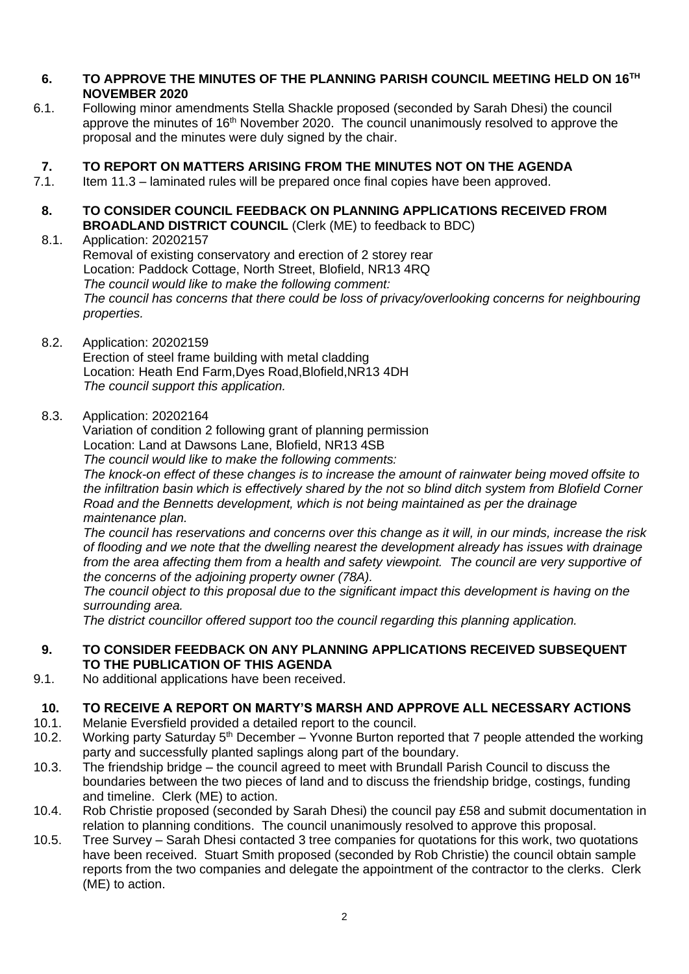## **6. TO APPROVE THE MINUTES OF THE PLANNING PARISH COUNCIL MEETING HELD ON 16TH NOVEMBER 2020**

6.1. Following minor amendments Stella Shackle proposed (seconded by Sarah Dhesi) the council approve the minutes of 16<sup>th</sup> November 2020. The council unanimously resolved to approve the proposal and the minutes were duly signed by the chair.

## **7. TO REPORT ON MATTERS ARISING FROM THE MINUTES NOT ON THE AGENDA**

- 7.1. Item 11.3 laminated rules will be prepared once final copies have been approved.
- **8. TO CONSIDER COUNCIL FEEDBACK ON PLANNING APPLICATIONS RECEIVED FROM BROADLAND DISTRICT COUNCIL** (Clerk (ME) to feedback to BDC)

## 8.1. Application: 20202157 Removal of existing conservatory and erection of 2 storey rear Location: Paddock Cottage, North Street, Blofield, NR13 4RQ *The council would like to make the following comment: The council has concerns that there could be loss of privacy/overlooking concerns for neighbouring properties.*

8.2. Application: 20202159

Erection of steel frame building with metal cladding Location: Heath End Farm,Dyes Road,Blofield,NR13 4DH *The council support this application.*

8.3. Application: 20202164

Variation of condition 2 following grant of planning permission

Location: Land at Dawsons Lane, Blofield, NR13 4SB

*The council would like to make the following comments:*

*The knock-on effect of these changes is to increase the amount of rainwater being moved offsite to the infiltration basin which is effectively shared by the not so blind ditch system from Blofield Corner Road and the Bennetts development, which is not being maintained as per the drainage maintenance plan.* 

*The council has reservations and concerns over this change as it will, in our minds, increase the risk of flooding and we note that the dwelling nearest the development already has issues with drainage*  from the area affecting them from a health and safety viewpoint. The council are very supportive of *the concerns of the adjoining property owner (78A).*

*The council object to this proposal due to the significant impact this development is having on the surrounding area.*

*The district councillor offered support too the council regarding this planning application.*

## **9. TO CONSIDER FEEDBACK ON ANY PLANNING APPLICATIONS RECEIVED SUBSEQUENT TO THE PUBLICATION OF THIS AGENDA**

9.1. No additional applications have been received.

## **10. TO RECEIVE A REPORT ON MARTY'S MARSH AND APPROVE ALL NECESSARY ACTIONS**

- 10.1. Melanie Eversfield provided a detailed report to the council.
- 10.2. Working party Saturday  $5<sup>th</sup>$  December Yvonne Burton reported that 7 people attended the working party and successfully planted saplings along part of the boundary.
- 10.3. The friendship bridge the council agreed to meet with Brundall Parish Council to discuss the boundaries between the two pieces of land and to discuss the friendship bridge, costings, funding and timeline. Clerk (ME) to action.
- 10.4. Rob Christie proposed (seconded by Sarah Dhesi) the council pay £58 and submit documentation in relation to planning conditions. The council unanimously resolved to approve this proposal.
- 10.5. Tree Survey Sarah Dhesi contacted 3 tree companies for quotations for this work, two quotations have been received. Stuart Smith proposed (seconded by Rob Christie) the council obtain sample reports from the two companies and delegate the appointment of the contractor to the clerks. Clerk (ME) to action.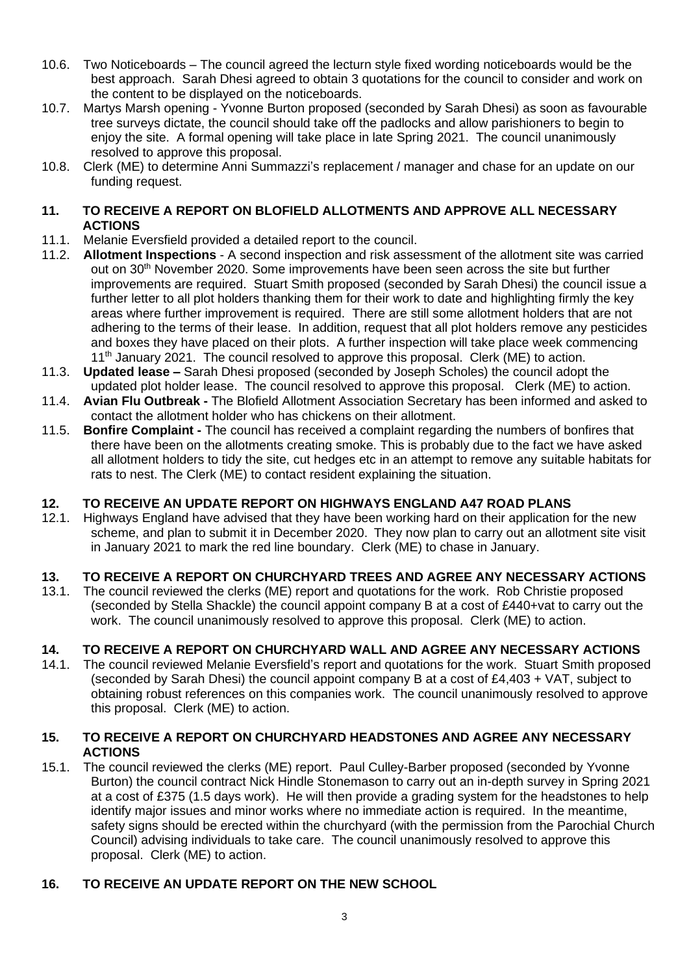- 10.6. Two Noticeboards The council agreed the lecturn style fixed wording noticeboards would be the best approach. Sarah Dhesi agreed to obtain 3 quotations for the council to consider and work on the content to be displayed on the noticeboards.
- 10.7. Martys Marsh opening Yvonne Burton proposed (seconded by Sarah Dhesi) as soon as favourable tree surveys dictate, the council should take off the padlocks and allow parishioners to begin to enjoy the site. A formal opening will take place in late Spring 2021. The council unanimously resolved to approve this proposal.
- 10.8. Clerk (ME) to determine Anni Summazzi's replacement / manager and chase for an update on our funding request.

## **11. TO RECEIVE A REPORT ON BLOFIELD ALLOTMENTS AND APPROVE ALL NECESSARY ACTIONS**

- 11.1. Melanie Eversfield provided a detailed report to the council.
- 11.2. **Allotment Inspections** A second inspection and risk assessment of the allotment site was carried out on 30<sup>th</sup> November 2020. Some improvements have been seen across the site but further improvements are required. Stuart Smith proposed (seconded by Sarah Dhesi) the council issue a further letter to all plot holders thanking them for their work to date and highlighting firmly the key areas where further improvement is required. There are still some allotment holders that are not adhering to the terms of their lease. In addition, request that all plot holders remove any pesticides and boxes they have placed on their plots. A further inspection will take place week commencing  $11<sup>th</sup>$  January 2021. The council resolved to approve this proposal. Clerk (ME) to action.
- 11.3. **Updated lease –** Sarah Dhesi proposed (seconded by Joseph Scholes) the council adopt the updated plot holder lease. The council resolved to approve this proposal. Clerk (ME) to action.
- 11.4. **Avian Flu Outbreak -** The Blofield Allotment Association Secretary has been informed and asked to contact the allotment holder who has chickens on their allotment.
- 11.5. **Bonfire Complaint -** The council has received a complaint regarding the numbers of bonfires that there have been on the allotments creating smoke. This is probably due to the fact we have asked all allotment holders to tidy the site, cut hedges etc in an attempt to remove any suitable habitats for rats to nest. The Clerk (ME) to contact resident explaining the situation.

## **12. TO RECEIVE AN UPDATE REPORT ON HIGHWAYS ENGLAND A47 ROAD PLANS**

12.1. Highways England have advised that they have been working hard on their application for the new scheme, and plan to submit it in December 2020. They now plan to carry out an allotment site visit in January 2021 to mark the red line boundary. Clerk (ME) to chase in January.

## **13. TO RECEIVE A REPORT ON CHURCHYARD TREES AND AGREE ANY NECESSARY ACTIONS**

13.1. The council reviewed the clerks (ME) report and quotations for the work. Rob Christie proposed (seconded by Stella Shackle) the council appoint company B at a cost of £440+vat to carry out the work. The council unanimously resolved to approve this proposal. Clerk (ME) to action.

## **14. TO RECEIVE A REPORT ON CHURCHYARD WALL AND AGREE ANY NECESSARY ACTIONS**

The council reviewed Melanie Eversfield's report and quotations for the work. Stuart Smith proposed (seconded by Sarah Dhesi) the council appoint company B at a cost of  $E4,403 + VAT$ , subject to obtaining robust references on this companies work. The council unanimously resolved to approve this proposal. Clerk (ME) to action.

## **15. TO RECEIVE A REPORT ON CHURCHYARD HEADSTONES AND AGREE ANY NECESSARY ACTIONS**

15.1. The council reviewed the clerks (ME) report. Paul Culley-Barber proposed (seconded by Yvonne Burton) the council contract Nick Hindle Stonemason to carry out an in-depth survey in Spring 2021 at a cost of £375 (1.5 days work). He will then provide a grading system for the headstones to help identify major issues and minor works where no immediate action is required. In the meantime, safety signs should be erected within the churchyard (with the permission from the Parochial Church Council) advising individuals to take care. The council unanimously resolved to approve this proposal. Clerk (ME) to action.

## **16. TO RECEIVE AN UPDATE REPORT ON THE NEW SCHOOL**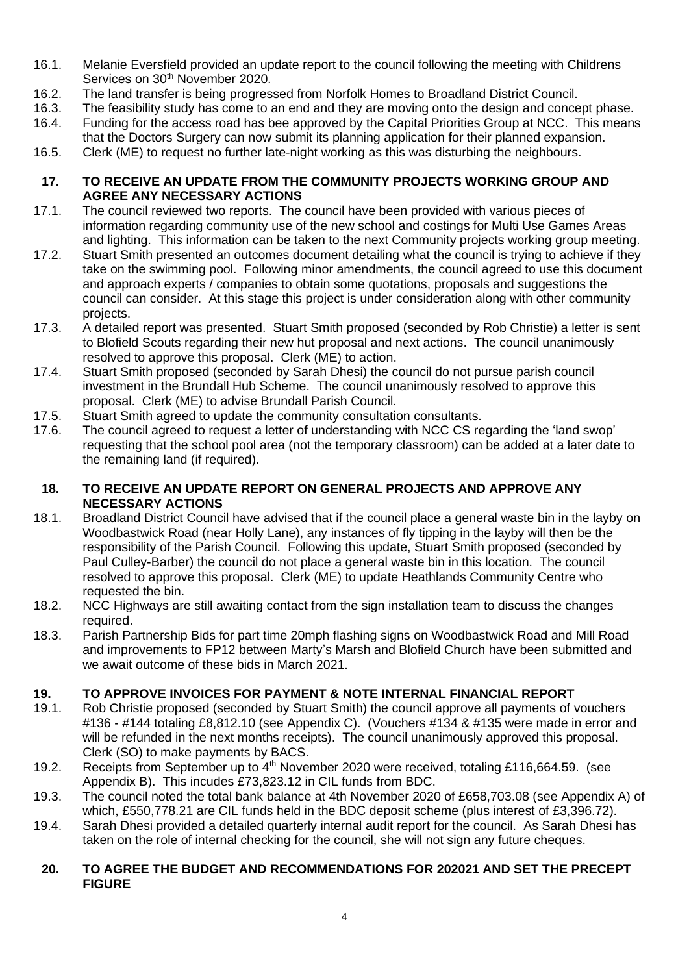- 16.1. Melanie Eversfield provided an update report to the council following the meeting with Childrens Services on 30<sup>th</sup> November 2020.
- 16.2. The land transfer is being progressed from Norfolk Homes to Broadland District Council.<br>16.3. The feasibility study has come to an end and they are moving onto the design and conce
- The feasibility study has come to an end and they are moving onto the design and concept phase.
- 16.4. Funding for the access road has bee approved by the Capital Priorities Group at NCC. This means that the Doctors Surgery can now submit its planning application for their planned expansion.
- 16.5. Clerk (ME) to request no further late-night working as this was disturbing the neighbours.

#### **17. TO RECEIVE AN UPDATE FROM THE COMMUNITY PROJECTS WORKING GROUP AND AGREE ANY NECESSARY ACTIONS**

- 17.1. The council reviewed two reports. The council have been provided with various pieces of information regarding community use of the new school and costings for Multi Use Games Areas and lighting. This information can be taken to the next Community projects working group meeting.
- 17.2. Stuart Smith presented an outcomes document detailing what the council is trying to achieve if they take on the swimming pool. Following minor amendments, the council agreed to use this document and approach experts / companies to obtain some quotations, proposals and suggestions the council can consider. At this stage this project is under consideration along with other community projects.
- 17.3. A detailed report was presented. Stuart Smith proposed (seconded by Rob Christie) a letter is sent to Blofield Scouts regarding their new hut proposal and next actions. The council unanimously resolved to approve this proposal. Clerk (ME) to action.
- 17.4. Stuart Smith proposed (seconded by Sarah Dhesi) the council do not pursue parish council investment in the Brundall Hub Scheme. The council unanimously resolved to approve this proposal. Clerk (ME) to advise Brundall Parish Council.
- 17.5. Stuart Smith agreed to update the community consultation consultants.
- 17.6. The council agreed to request a letter of understanding with NCC CS regarding the 'land swop' requesting that the school pool area (not the temporary classroom) can be added at a later date to the remaining land (if required).

## **18. TO RECEIVE AN UPDATE REPORT ON GENERAL PROJECTS AND APPROVE ANY NECESSARY ACTIONS**

- 18.1. Broadland District Council have advised that if the council place a general waste bin in the layby on Woodbastwick Road (near Holly Lane), any instances of fly tipping in the layby will then be the responsibility of the Parish Council. Following this update, Stuart Smith proposed (seconded by Paul Culley-Barber) the council do not place a general waste bin in this location. The council resolved to approve this proposal. Clerk (ME) to update Heathlands Community Centre who requested the bin.
- 18.2. NCC Highways are still awaiting contact from the sign installation team to discuss the changes required.
- 18.3. Parish Partnership Bids for part time 20mph flashing signs on Woodbastwick Road and Mill Road and improvements to FP12 between Marty's Marsh and Blofield Church have been submitted and we await outcome of these bids in March 2021.

## **19. TO APPROVE INVOICES FOR PAYMENT & NOTE INTERNAL FINANCIAL REPORT**

- 19.1. Rob Christie proposed (seconded by Stuart Smith) the council approve all payments of vouchers #136 - #144 totaling £8,812.10 (see Appendix C). (Vouchers #134 & #135 were made in error and will be refunded in the next months receipts). The council unanimously approved this proposal. Clerk (SO) to make payments by BACS.
- 19.2. Receipts from September up to 4<sup>th</sup> November 2020 were received, totaling £116,664.59. (see Appendix B). This incudes £73,823.12 in CIL funds from BDC.
- 19.3. The council noted the total bank balance at 4th November 2020 of £658,703.08 (see Appendix A) of which, £550,778.21 are CIL funds held in the BDC deposit scheme (plus interest of £3,396.72).
- 19.4. Sarah Dhesi provided a detailed quarterly internal audit report for the council. As Sarah Dhesi has taken on the role of internal checking for the council, she will not sign any future cheques.

## **20. TO AGREE THE BUDGET AND RECOMMENDATIONS FOR 202021 AND SET THE PRECEPT FIGURE**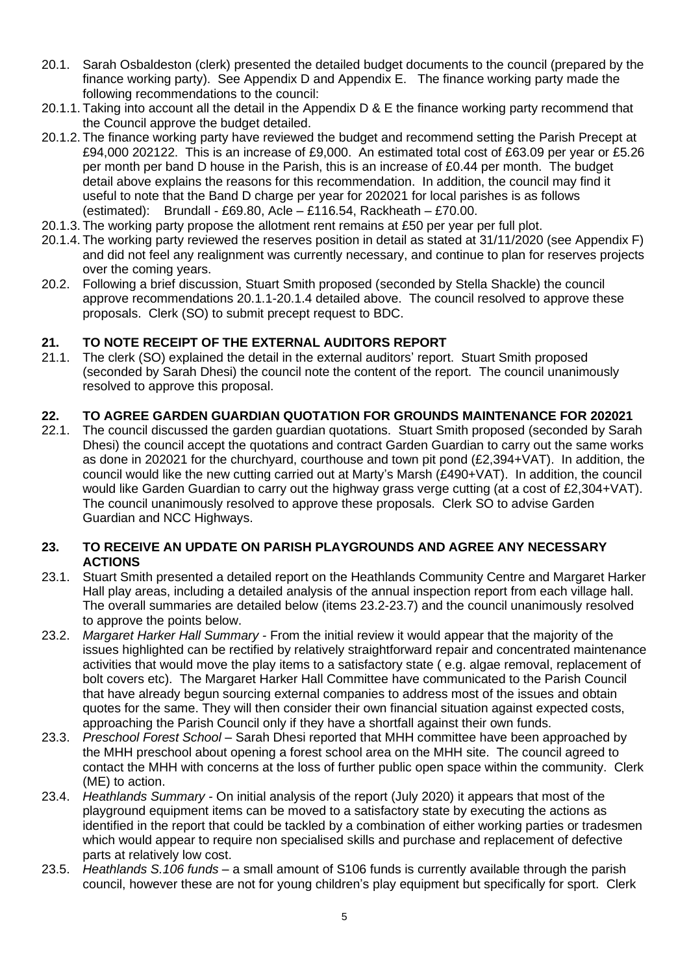- 20.1. Sarah Osbaldeston (clerk) presented the detailed budget documents to the council (prepared by the finance working party). See Appendix D and Appendix E. The finance working party made the following recommendations to the council:
- 20.1.1. Taking into account all the detail in the Appendix D & E the finance working party recommend that the Council approve the budget detailed.
- 20.1.2. The finance working party have reviewed the budget and recommend setting the Parish Precept at £94,000 202122. This is an increase of £9,000. An estimated total cost of £63.09 per year or £5.26 per month per band D house in the Parish, this is an increase of £0.44 per month. The budget detail above explains the reasons for this recommendation. In addition, the council may find it useful to note that the Band D charge per year for 202021 for local parishes is as follows (estimated): Brundall - £69.80, Acle – £116.54, Rackheath – £70.00.
- 20.1.3. The working party propose the allotment rent remains at £50 per year per full plot.
- 20.1.4. The working party reviewed the reserves position in detail as stated at 31/11/2020 (see Appendix F) and did not feel any realignment was currently necessary, and continue to plan for reserves projects over the coming years.
- 20.2. Following a brief discussion, Stuart Smith proposed (seconded by Stella Shackle) the council approve recommendations 20.1.1-20.1.4 detailed above. The council resolved to approve these proposals. Clerk (SO) to submit precept request to BDC.

## **21. TO NOTE RECEIPT OF THE EXTERNAL AUDITORS REPORT**

21.1. The clerk (SO) explained the detail in the external auditors' report. Stuart Smith proposed (seconded by Sarah Dhesi) the council note the content of the report. The council unanimously resolved to approve this proposal.

## **22. TO AGREE GARDEN GUARDIAN QUOTATION FOR GROUNDS MAINTENANCE FOR 202021**

22.1. The council discussed the garden guardian quotations. Stuart Smith proposed (seconded by Sarah Dhesi) the council accept the quotations and contract Garden Guardian to carry out the same works as done in 202021 for the churchyard, courthouse and town pit pond (£2,394+VAT). In addition, the council would like the new cutting carried out at Marty's Marsh (£490+VAT). In addition, the council would like Garden Guardian to carry out the highway grass verge cutting (at a cost of £2,304+VAT). The council unanimously resolved to approve these proposals. Clerk SO to advise Garden Guardian and NCC Highways.

## **23. TO RECEIVE AN UPDATE ON PARISH PLAYGROUNDS AND AGREE ANY NECESSARY ACTIONS**

- 23.1. Stuart Smith presented a detailed report on the Heathlands Community Centre and Margaret Harker Hall play areas, including a detailed analysis of the annual inspection report from each village hall. The overall summaries are detailed below (items 23.2-23.7) and the council unanimously resolved to approve the points below.
- 23.2. *Margaret Harker Hall Summary -* From the initial review it would appear that the majority of the issues highlighted can be rectified by relatively straightforward repair and concentrated maintenance activities that would move the play items to a satisfactory state ( e.g. algae removal, replacement of bolt covers etc). The Margaret Harker Hall Committee have communicated to the Parish Council that have already begun sourcing external companies to address most of the issues and obtain quotes for the same. They will then consider their own financial situation against expected costs, approaching the Parish Council only if they have a shortfall against their own funds.
- 23.3. *Preschool Forest School*  Sarah Dhesi reported that MHH committee have been approached by the MHH preschool about opening a forest school area on the MHH site.The council agreed to contact the MHH with concerns at the loss of further public open space within the community. Clerk (ME) to action.
- 23.4. *Heathlands Summary -* On initial analysis of the report (July 2020) it appears that most of the playground equipment items can be moved to a satisfactory state by executing the actions as identified in the report that could be tackled by a combination of either working parties or tradesmen which would appear to require non specialised skills and purchase and replacement of defective parts at relatively low cost.
- 23.5. *Heathlands S.106 funds* a small amount of S106 funds is currently available through the parish council, however these are not for young children's play equipment but specifically for sport. Clerk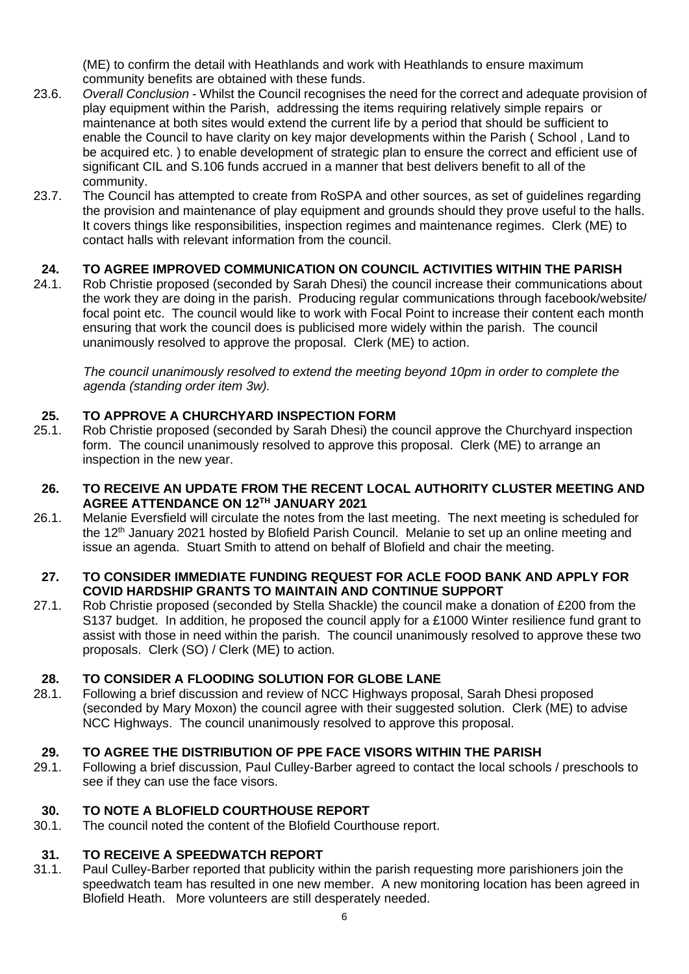(ME) to confirm the detail with Heathlands and work with Heathlands to ensure maximum community benefits are obtained with these funds.

- 23.6. *Overall Conclusion* Whilst the Council recognises the need for the correct and adequate provision of play equipment within the Parish, addressing the items requiring relatively simple repairs or maintenance at both sites would extend the current life by a period that should be sufficient to enable the Council to have clarity on key major developments within the Parish ( School , Land to be acquired etc. ) to enable development of strategic plan to ensure the correct and efficient use of significant CIL and S.106 funds accrued in a manner that best delivers benefit to all of the community.
- 23.7. The Council has attempted to create from RoSPA and other sources, as set of guidelines regarding the provision and maintenance of play equipment and grounds should they prove useful to the halls. It covers things like responsibilities, inspection regimes and maintenance regimes. Clerk (ME) to contact halls with relevant information from the council.

## **24. TO AGREE IMPROVED COMMUNICATION ON COUNCIL ACTIVITIES WITHIN THE PARISH**

24.1. Rob Christie proposed (seconded by Sarah Dhesi) the council increase their communications about the work they are doing in the parish. Producing regular communications through facebook/website/ focal point etc. The council would like to work with Focal Point to increase their content each month ensuring that work the council does is publicised more widely within the parish. The council unanimously resolved to approve the proposal. Clerk (ME) to action.

*The council unanimously resolved to extend the meeting beyond 10pm in order to complete the agenda (standing order item 3w).*

## **25. TO APPROVE A CHURCHYARD INSPECTION FORM**

- 25.1. Rob Christie proposed (seconded by Sarah Dhesi) the council approve the Churchyard inspection form. The council unanimously resolved to approve this proposal. Clerk (ME) to arrange an inspection in the new year.
- **26. TO RECEIVE AN UPDATE FROM THE RECENT LOCAL AUTHORITY CLUSTER MEETING AND AGREE ATTENDANCE ON 12TH JANUARY 2021**
- 26.1. Melanie Eversfield will circulate the notes from the last meeting. The next meeting is scheduled for the 12<sup>th</sup> January 2021 hosted by Blofield Parish Council. Melanie to set up an online meeting and issue an agenda. Stuart Smith to attend on behalf of Blofield and chair the meeting.

## **27. TO CONSIDER IMMEDIATE FUNDING REQUEST FOR ACLE FOOD BANK AND APPLY FOR COVID HARDSHIP GRANTS TO MAINTAIN AND CONTINUE SUPPORT**

27.1. Rob Christie proposed (seconded by Stella Shackle) the council make a donation of £200 from the S137 budget. In addition, he proposed the council apply for a £1000 Winter resilience fund grant to assist with those in need within the parish. The council unanimously resolved to approve these two proposals. Clerk (SO) / Clerk (ME) to action.

## **28. TO CONSIDER A FLOODING SOLUTION FOR GLOBE LANE**

28.1. Following a brief discussion and review of NCC Highways proposal, Sarah Dhesi proposed (seconded by Mary Moxon) the council agree with their suggested solution. Clerk (ME) to advise NCC Highways. The council unanimously resolved to approve this proposal.

## **29. TO AGREE THE DISTRIBUTION OF PPE FACE VISORS WITHIN THE PARISH**

29.1. Following a brief discussion, Paul Culley-Barber agreed to contact the local schools / preschools to see if they can use the face visors.

## **30. TO NOTE A BLOFIELD COURTHOUSE REPORT**

30.1. The council noted the content of the Blofield Courthouse report.

## **31. TO RECEIVE A SPEEDWATCH REPORT**

31.1. Paul Culley-Barber reported that publicity within the parish requesting more parishioners join the speedwatch team has resulted in one new member. A new monitoring location has been agreed in Blofield Heath. More volunteers are still desperately needed.